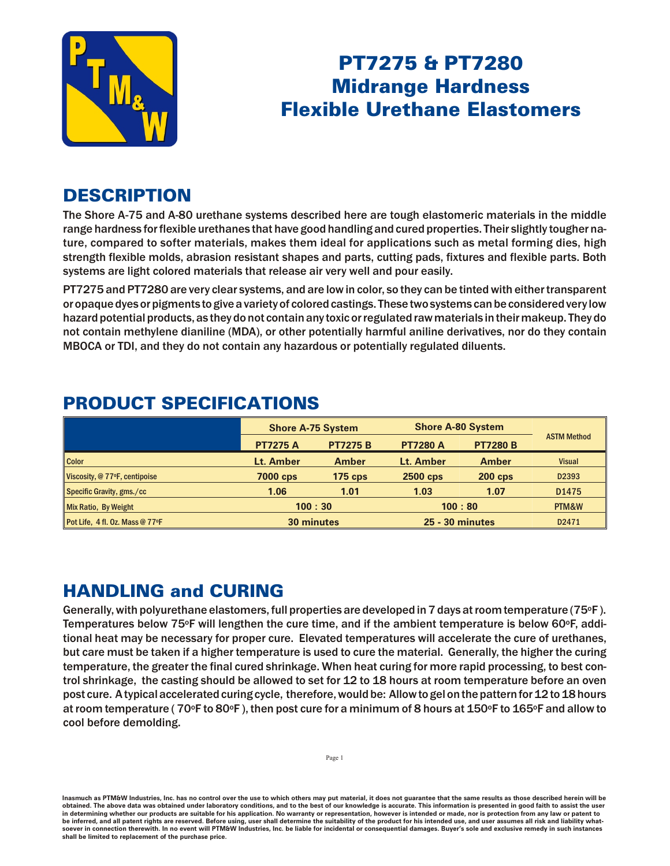

# PT7275 & PT7280 **Midrange Hardness Flexible Urethane Elastomers**

## **DESCRIPTION**

The Shore A-75 and A-80 urethane systems described here are tough elastomeric materials in the middle range hardness for flexible urethanes that have good handling and cured properties. Their slightly tougher nature, compared to softer materials, makes them ideal for applications such as metal forming dies, high strength flexible molds, abrasion resistant shapes and parts, cutting pads, fixtures and flexible parts. Both systems are light colored materials that release air very well and pour easily.

PT7275 and PT7280 are very clear systems, and are low in color, so they can be tinted with either transparent or opaque dyes or pigments to give a variety of colored castings. These two systems can be considered very low hazard potential products, as they do not contain any toxic or regulated raw materials in their makeup. They do not contain methylene dianiline (MDA), or other potentially harmful aniline derivatives, nor do they contain MBOCA or TDI, and they do not contain any hazardous or potentially regulated diluents.

|                                 | <b>Shore A-75 System</b> |                 | <b>Shore A-80 System</b> |                 |                    |
|---------------------------------|--------------------------|-----------------|--------------------------|-----------------|--------------------|
|                                 | <b>PT7275 A</b>          | <b>PT7275 B</b> | <b>PT7280 A</b>          | <b>PT7280 B</b> | <b>ASTM Method</b> |
| <b>Color</b>                    | Lt. Amber                | <b>Amber</b>    | Lt. Amber                | <b>Amber</b>    | <b>Visual</b>      |
| Viscosity, @ 77°F, centipoise   | <b>7000 cps</b>          | $175$ cps       | 2500 cps                 | <b>200 cps</b>  | D2393              |
| Specific Gravity, gms./cc       | 1.06                     | 1.01            | 1.03                     | 1.07            | D1475              |
| Mix Ratio, By Weight            | 100:30                   |                 | 100:80                   |                 | PTM&W              |
| Pot Life, 4 fl. Oz. Mass @ 77°F | <b>30 minutes</b>        |                 | <b>25 - 30 minutes</b>   |                 | D2471              |

### **PRODUCT SPECIFICATIONS**

## **HANDLING and CURING**

Generally, with polyure thane elas tomers, full properties are developed in 7 days at room temperature (75 $\textdegree$ F). Temperatures below 75°F will lengthen the cure time, and if the ambient temperature is below 60°F, additional heat may be necessary for proper cure. Elevated temperatures will accelerate the cure of urethanes, but care must be taken if a higher temperature is used to cure the material. Generally, the higher the curing temperature, the greater the final cured shrinkage. When heat curing for more rapid processing, to best control shrinkage, the casting should be allowed to set for 12 to 18 hours at room temperature before an oven post cure. A typical accelerated curing cycle, therefore, would be: Allow to gel on the pattern for 12 to 18 hours at room temperature ( $70^{\circ}$ F to  $80^{\circ}$ F), then post cure for a minimum of 8 hours at 150 $^{\circ}$ F to 165 $^{\circ}$ F and allow to cool before demolding.

Inasmuch as PTM&W Industries, Inc. has no control over the use to which others may put material, it does not guarantee that the same results as those described herein will be obtained. The above data was obtained under laboratory conditions, and to the best of our knowledge is accurate. This information is presented in good faith to assist the user in determining whether our products are suitable for his application. No warranty or representation, however is intended or made, nor is protection from any law be inferred, and all patent rights are reserved. Before using, user shall determine the suitability of the product for his intended use, and user assumes all risk and liability whatsoever in connection therewith. In no event will PTM&W Industries, Inc. be liable for incidental or consequential damages. Buyer's sole and exclusive remedy in such instances shall be limited to replacement of the purchase price.